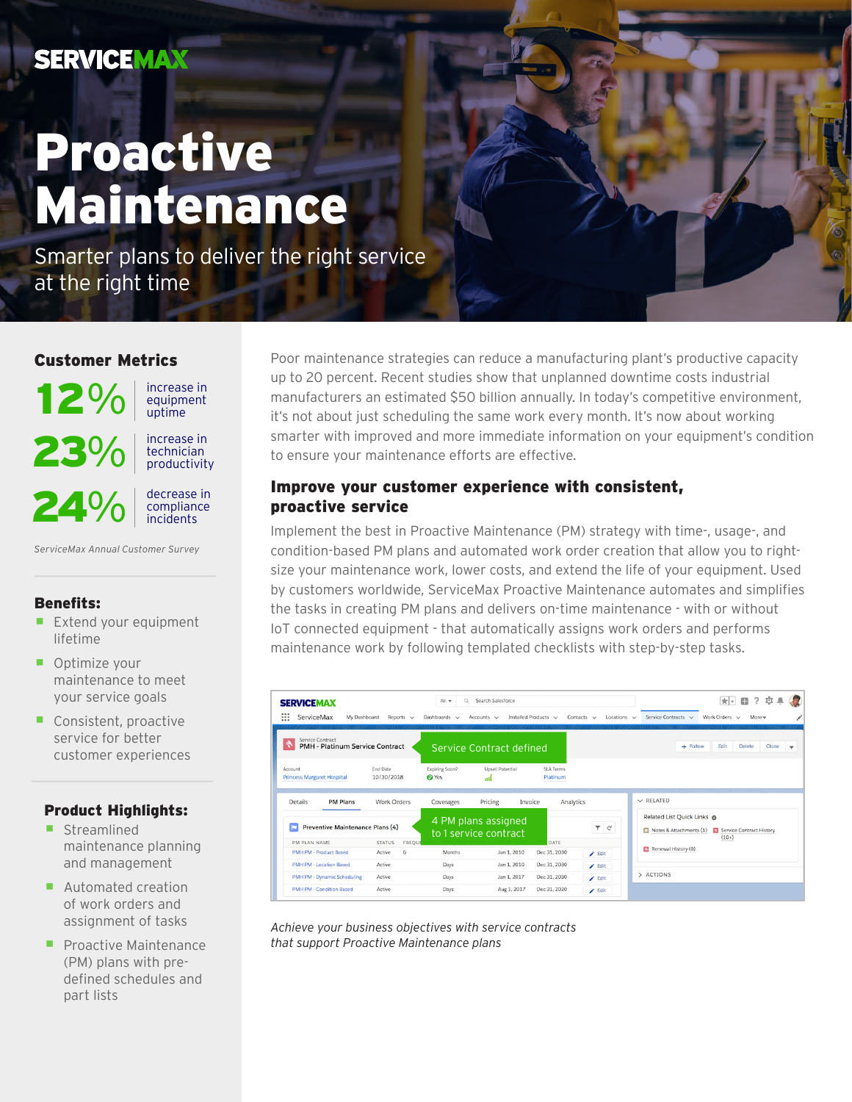## **SERVICEMAX**

# Proactive Maintenance

Smarter plans to deliver the right service at the right time

#### Customer Metrics



- Optimize your maintenance to meet your service goals
- Consistent, proactive service for better customer experiences

#### Product Highlights:

- **Streamlined** maintenance planning and management
- Automated creation of work orders and assignment of tasks
- **Proactive Maintenance** (PM) plans with predefined schedules and part lists

Poor maintenance strategies can reduce a manufacturing plant's productive capacity up to 20 percent. Recent studies show that unplanned downtime costs industrial manufacturers an estimated \$50 billion annually. In today's competitive environment, it's not about just scheduling the same work every month. It's now about working smarter with improved and more immediate information on your equipment's condition to ensure your maintenance efforts are effective.

#### Improve your customer experience with consistent, proactive service

Implement the best in Proactive Maintenance (PM) strategy with time-, usage-, and condition-based PM plans and automated work order creation that allow you to rightsize your maintenance work, lower costs, and extend the life of your equipment. Used by customers worldwide, ServiceMax Proactive Maintenance automates and simplifies the tasks in creating PM plans and delivers on-time maintenance - with or without IoT connected equipment - that automatically assigns work orders and performs maintenance work by following templated checklists with step-by-step tasks.

| <b>SERVICEMAX</b><br>ServiceMax<br>My Dashboard<br>$\dddot{z}$                                                                                                                                  | Reports $\vee$                         | All v<br>Q<br>Dashboards $\vee$ | Search Salesforce<br>Accounts $\vee$ | Installed Products V  | Contacts $\vee$<br>Locations $\vee$ | $?$ $\circ$ $\bullet$<br>$\star$ $\star$<br>$\Box$<br>Service Contracts v<br>Work Orders v<br>More w |  |
|-------------------------------------------------------------------------------------------------------------------------------------------------------------------------------------------------|----------------------------------------|---------------------------------|--------------------------------------|-----------------------|-------------------------------------|------------------------------------------------------------------------------------------------------|--|
| Service Contract<br>PMH - Platinum Service Contract                                                                                                                                             |                                        |                                 | Service Contract defined             |                       |                                     | + Follow<br>Edit<br><b>Delete</b><br>Clone<br>$\mathbf{v}$                                           |  |
| Account<br><b>Princess Margaret Hospital</b>                                                                                                                                                    | End Date<br>10/30/2018                 | Expiring Soon?<br><b>O</b> Yes  | Upsell Potential<br>тń               | SLA Terms<br>Platinum |                                     |                                                                                                      |  |
| $\vee$ RELATED<br><b>PM Plans</b><br><b>Work Orders</b><br>Pricing<br><b>Details</b><br>Invoice<br>Analytics<br>Coverages                                                                       |                                        |                                 |                                      |                       |                                     |                                                                                                      |  |
| Related List Quick Links @<br>4 PM plans assigned<br>Preventive Maintenance Plans (4)<br>7 <sup>c</sup><br>Notes & Attachments (1) Service Contract History<br>to 1 service contract<br>$(10+)$ |                                        |                                 |                                      |                       |                                     |                                                                                                      |  |
| PM PLAN NAME<br><b>PMH PM - Product Based</b>                                                                                                                                                   | <b>STATUS</b><br>FREQUE<br>6<br>Active | Months                          | Jan 1, 2010                          | DATE<br>Dec 31, 2030  |                                     | Renewal History (0)                                                                                  |  |
| PMH PM - Location Based                                                                                                                                                                         | Active                                 | Days                            | Jan 1, 2010                          | Dec 31, 2030          | $\angle$ Edit<br>$\angle$ Edit      |                                                                                                      |  |
| PMH PM - Dynamic Scheduling                                                                                                                                                                     | Active                                 | Days                            | Jan 1, 2017                          | Dec 31, 2030          | $E$ dit                             | > ACTIONS                                                                                            |  |
| PMH PM - Condition Based                                                                                                                                                                        | Active                                 | Days                            | Aug 1, 2017                          | Dec 31, 2020          | $\angle$ Edit                       |                                                                                                      |  |

*Achieve your business objectives with service contracts that support Proactive Maintenance plans*